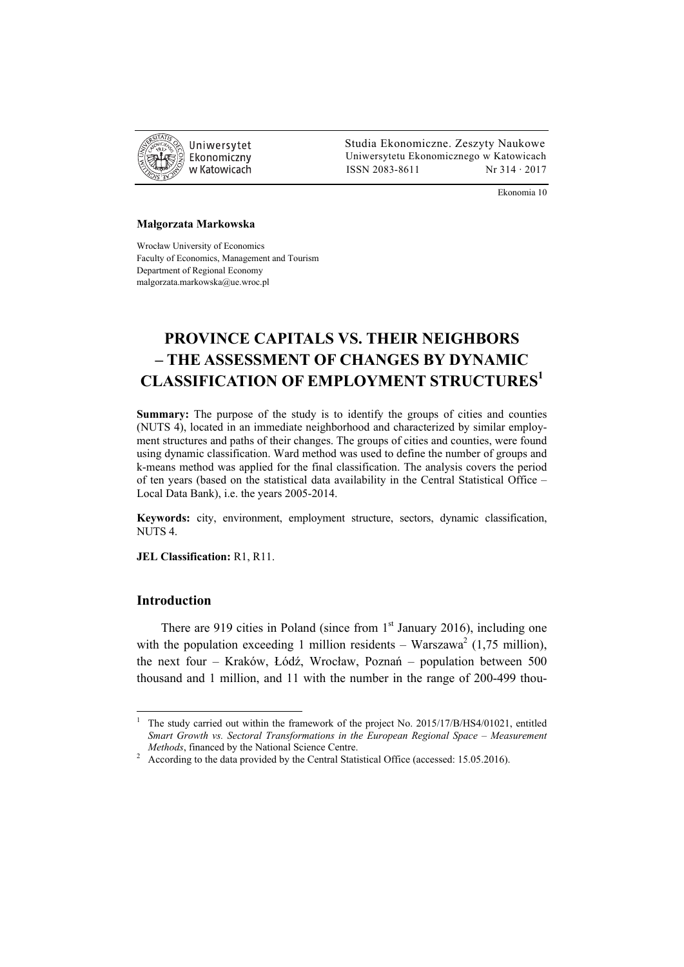

 Studia Ekonomiczne. Zeszyty Naukowe Ekonomiczny Uniwersytetu Ekonomicznego w Katowicach w Katowicach Matsus (ISSN 2083-8611 Nr 314 · 2017

Ekonomia 10

#### **Małgorzata Markowska**

Wrocław University of Economics Faculty of Economics, Management and Tourism Department of Regional Economy malgorzata.markowska@ue.wroc.pl

# **PROVINCE CAPITALS VS. THEIR NEIGHBORS – THE ASSESSMENT OF CHANGES BY DYNAMIC CLASSIFICATION OF EMPLOYMENT STRUCTURES<sup>1</sup>**

**Summary:** The purpose of the study is to identify the groups of cities and counties (NUTS 4), located in an immediate neighborhood and characterized by similar employment structures and paths of their changes. The groups of cities and counties, were found using dynamic classification. Ward method was used to define the number of groups and k-means method was applied for the final classification. The analysis covers the period of ten years (based on the statistical data availability in the Central Statistical Office – Local Data Bank), i.e. the years 2005-2014.

**Keywords:** city, environment, employment structure, sectors, dynamic classification, NUTS 4.

**JEL Classification:** R1, R11.

## **Introduction**

 $\overline{a}$ 

There are 919 cities in Poland (since from  $1<sup>st</sup>$  January 2016), including one with the population exceeding 1 million residents  $-$  Warszawa<sup>2</sup> (1,75 million), the next four – Kraków, Łódź, Wrocław, Poznań – population between 500 thousand and 1 million, and 11 with the number in the range of 200-499 thou-

<sup>1</sup> The study carried out within the framework of the project No. 2015/17/B/HS4/01021, entitled *Smart Growth vs. Sectoral Transformations in the European Regional Space – Measurement Methods*, financed by the National Science Centre.

<sup>&</sup>lt;sup>2</sup> According to the data provided by the Central Statistical Office (accessed: 15.05.2016).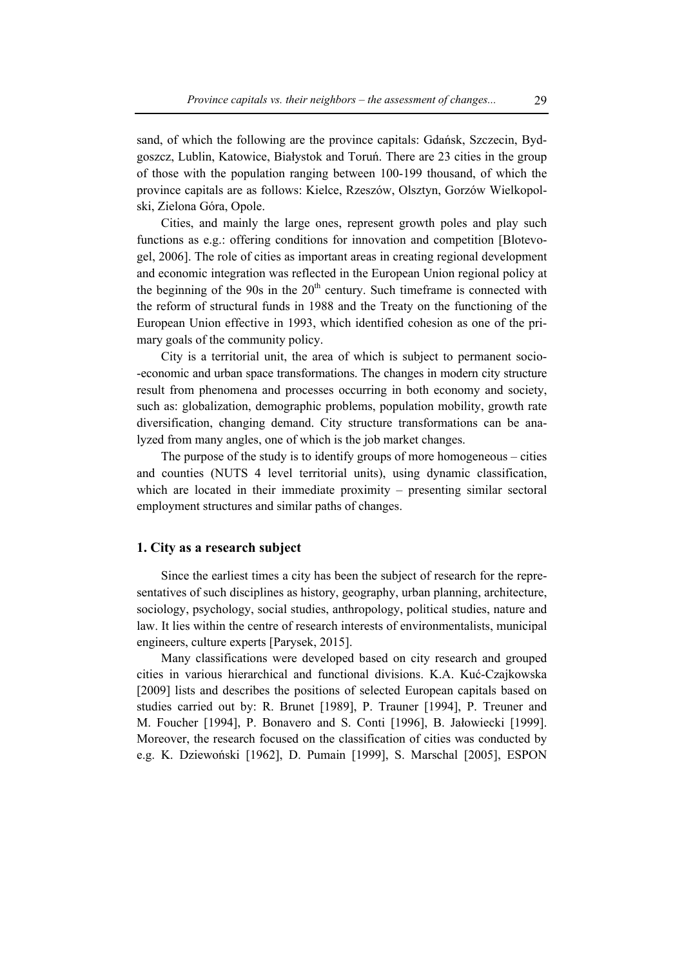sand, of which the following are the province capitals: Gdańsk, Szczecin, Bydgoszcz, Lublin, Katowice, Białystok and Toruń. There are 23 cities in the group of those with the population ranging between 100-199 thousand, of which the province capitals are as follows: Kielce, Rzeszów, Olsztyn, Gorzów Wielkopolski, Zielona Góra, Opole.

Cities, and mainly the large ones, represent growth poles and play such functions as e.g.: offering conditions for innovation and competition [Blotevogel, 2006]. The role of cities as important areas in creating regional development and economic integration was reflected in the European Union regional policy at the beginning of the 90s in the  $20<sup>th</sup>$  century. Such timeframe is connected with the reform of structural funds in 1988 and the Treaty on the functioning of the European Union effective in 1993, which identified cohesion as one of the primary goals of the community policy.

City is a territorial unit, the area of which is subject to permanent socio- -economic and urban space transformations. The changes in modern city structure result from phenomena and processes occurring in both economy and society, such as: globalization, demographic problems, population mobility, growth rate diversification, changing demand. City structure transformations can be analyzed from many angles, one of which is the job market changes.

The purpose of the study is to identify groups of more homogeneous – cities and counties (NUTS 4 level territorial units), using dynamic classification, which are located in their immediate proximity – presenting similar sectoral employment structures and similar paths of changes.

## **1. City as a research subject**

Since the earliest times a city has been the subject of research for the representatives of such disciplines as history, geography, urban planning, architecture, sociology, psychology, social studies, anthropology, political studies, nature and law. It lies within the centre of research interests of environmentalists, municipal engineers, culture experts [Parysek, 2015].

Many classifications were developed based on city research and grouped cities in various hierarchical and functional divisions. K.A. Kuć-Czajkowska [2009] lists and describes the positions of selected European capitals based on studies carried out by: R. Brunet [1989], P. Trauner [1994], P. Treuner and M. Foucher [1994], P. Bonavero and S. Conti [1996], B. Jałowiecki [1999]. Moreover, the research focused on the classification of cities was conducted by e.g. K. Dziewoński [1962], D. Pumain [1999], S. Marschal [2005], ESPON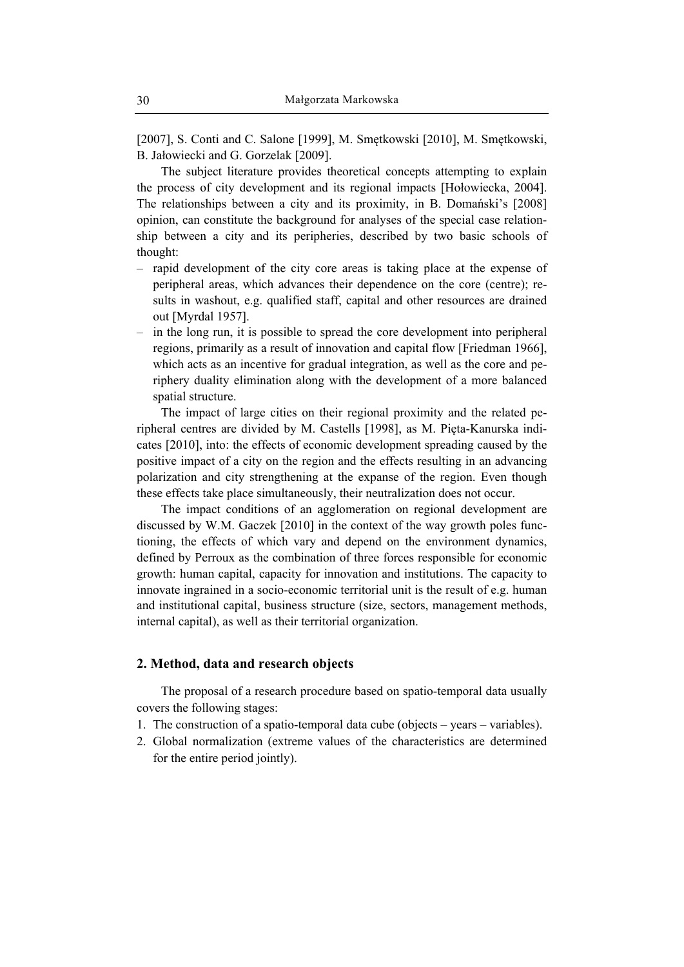[2007], S. Conti and C. Salone [1999], M. Smętkowski [2010], M. Smętkowski, B. Jałowiecki and G. Gorzelak [2009].

The subject literature provides theoretical concepts attempting to explain the process of city development and its regional impacts [Hołowiecka, 2004]. The relationships between a city and its proximity, in B. Domański's [2008] opinion, can constitute the background for analyses of the special case relationship between a city and its peripheries, described by two basic schools of thought:

- rapid development of the city core areas is taking place at the expense of peripheral areas, which advances their dependence on the core (centre); results in washout, e.g. qualified staff, capital and other resources are drained out [Myrdal 1957].
- in the long run, it is possible to spread the core development into peripheral regions, primarily as a result of innovation and capital flow [Friedman 1966], which acts as an incentive for gradual integration, as well as the core and periphery duality elimination along with the development of a more balanced spatial structure.

The impact of large cities on their regional proximity and the related peripheral centres are divided by M. Castells [1998], as M. Pięta-Kanurska indicates [2010], into: the effects of economic development spreading caused by the positive impact of a city on the region and the effects resulting in an advancing polarization and city strengthening at the expanse of the region. Even though these effects take place simultaneously, their neutralization does not occur.

The impact conditions of an agglomeration on regional development are discussed by W.M. Gaczek [2010] in the context of the way growth poles functioning, the effects of which vary and depend on the environment dynamics, defined by Perroux as the combination of three forces responsible for economic growth: human capital, capacity for innovation and institutions. The capacity to innovate ingrained in a socio-economic territorial unit is the result of e.g. human and institutional capital, business structure (size, sectors, management methods, internal capital), as well as their territorial organization.

### **2. Method, data and research objects**

The proposal of a research procedure based on spatio-temporal data usually covers the following stages:

- 1. The construction of a spatio-temporal data cube (objects years variables).
- 2. Global normalization (extreme values of the characteristics are determined for the entire period jointly).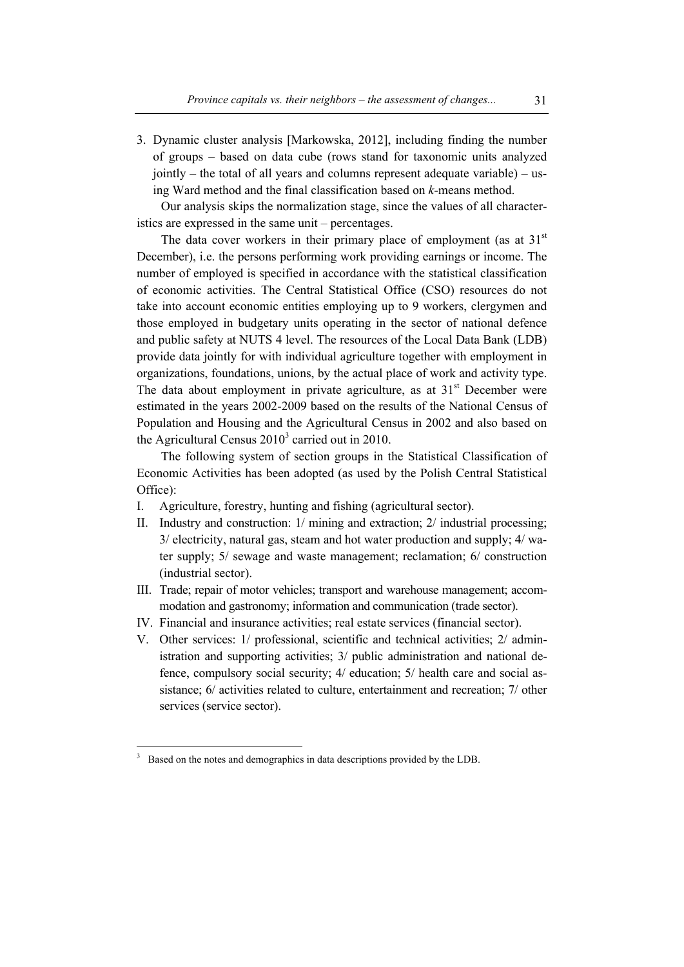3. Dynamic cluster analysis [Markowska, 2012], including finding the number of groups – based on data cube (rows stand for taxonomic units analyzed jointly – the total of all years and columns represent adequate variable) – using Ward method and the final classification based on *k*-means method.

Our analysis skips the normalization stage, since the values of all characteristics are expressed in the same unit – percentages.

The data cover workers in their primary place of employment (as at  $31<sup>st</sup>$ December), i.e. the persons performing work providing earnings or income. The number of employed is specified in accordance with the statistical classification of economic activities. The Central Statistical Office (CSO) resources do not take into account economic entities employing up to 9 workers, clergymen and those employed in budgetary units operating in the sector of national defence and public safety at NUTS 4 level. The resources of the Local Data Bank (LDB) provide data jointly for with individual agriculture together with employment in organizations, foundations, unions, by the actual place of work and activity type. The data about employment in private agriculture, as at  $31<sup>st</sup>$  December were estimated in the years 2002-2009 based on the results of the National Census of Population and Housing and the Agricultural Census in 2002 and also based on the Agricultural Census  $2010<sup>3</sup>$  carried out in 2010.

The following system of section groups in the Statistical Classification of Economic Activities has been adopted (as used by the Polish Central Statistical Office):

- I. Agriculture, forestry, hunting and fishing (agricultural sector).
- II. Industry and construction: 1/ mining and extraction; 2/ industrial processing; 3/ electricity, natural gas, steam and hot water production and supply; 4/ water supply; 5/ sewage and waste management; reclamation; 6/ construction (industrial sector).
- III. Trade; repair of motor vehicles; transport and warehouse management; accommodation and gastronomy; information and communication (trade sector).
- IV. Financial and insurance activities; real estate services (financial sector).
- V. Other services: 1/ professional, scientific and technical activities; 2/ administration and supporting activities; 3/ public administration and national defence, compulsory social security; 4/ education; 5/ health care and social assistance; 6/ activities related to culture, entertainment and recreation; 7/ other services (service sector).

 $\overline{a}$ 

<sup>3</sup> Based on the notes and demographics in data descriptions provided by the LDB.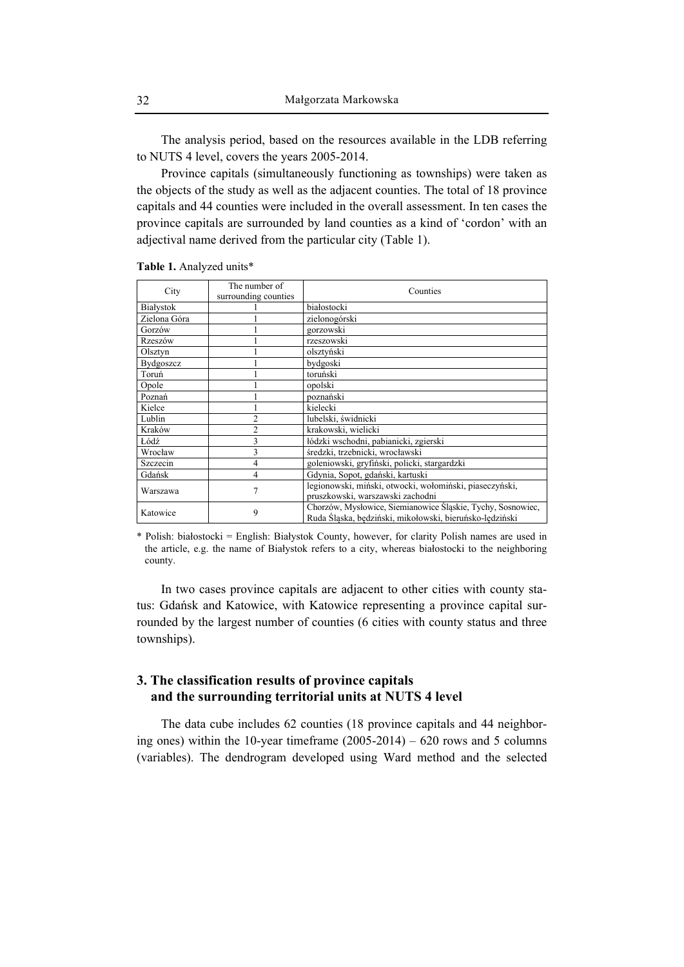The analysis period, based on the resources available in the LDB referring to NUTS 4 level, covers the years 2005-2014.

Province capitals (simultaneously functioning as townships) were taken as the objects of the study as well as the adjacent counties. The total of 18 province capitals and 44 counties were included in the overall assessment. In ten cases the province capitals are surrounded by land counties as a kind of 'cordon' with an adjectival name derived from the particular city (Table 1).

| City             | The number of        | Counties                                                    |
|------------------|----------------------|-------------------------------------------------------------|
|                  | surrounding counties |                                                             |
| Białystok        |                      | białostocki                                                 |
| Zielona Góra     |                      | zielonogórski                                               |
| Gorzów           |                      | gorzowski                                                   |
| Rzeszów          |                      | rzeszowski                                                  |
| Olsztyn          |                      | olsztvński                                                  |
| <b>Bydgoszcz</b> |                      | bydgoski                                                    |
| Toruń            |                      | toruński                                                    |
| Opole            |                      | opolski                                                     |
| Poznań           |                      | poznański                                                   |
| Kielce           |                      | kielecki                                                    |
| Lublin           |                      | lubelski, świdnicki                                         |
| Kraków           | $\overline{c}$       | krakowski, wielicki                                         |
| Łódź             |                      | łódzki wschodni, pabianicki, zgierski                       |
| Wrocław          | 3                    | średzki, trzebnicki, wrocławski                             |
| Szczecin         | 4                    | goleniowski, gryfiński, policki, stargardzki                |
| Gdańsk           | 4                    | Gdynia, Sopot, gdański, kartuski                            |
| Warszawa         | 7                    | legionowski, miński, otwocki, wołomiński, piaseczyński,     |
|                  |                      | pruszkowski, warszawski zachodni                            |
| Katowice         | 9                    | Chorzów, Mysłowice, Siemianowice Śląskie, Tychy, Sosnowiec, |
|                  |                      | Ruda Śląska, będziński, mikołowski, bieruńsko-lędziński     |

**Table 1.** Analyzed units\*

\* Polish: białostocki = English: Białystok County, however, for clarity Polish names are used in the article, e.g. the name of Białystok refers to a city, whereas białostocki to the neighboring county.

In two cases province capitals are adjacent to other cities with county status: Gdańsk and Katowice, with Katowice representing a province capital surrounded by the largest number of counties (6 cities with county status and three townships).

## **3. The classification results of province capitals and the surrounding territorial units at NUTS 4 level**

The data cube includes 62 counties (18 province capitals and 44 neighboring ones) within the 10-year timeframe (2005-2014) – 620 rows and 5 columns (variables). The dendrogram developed using Ward method and the selected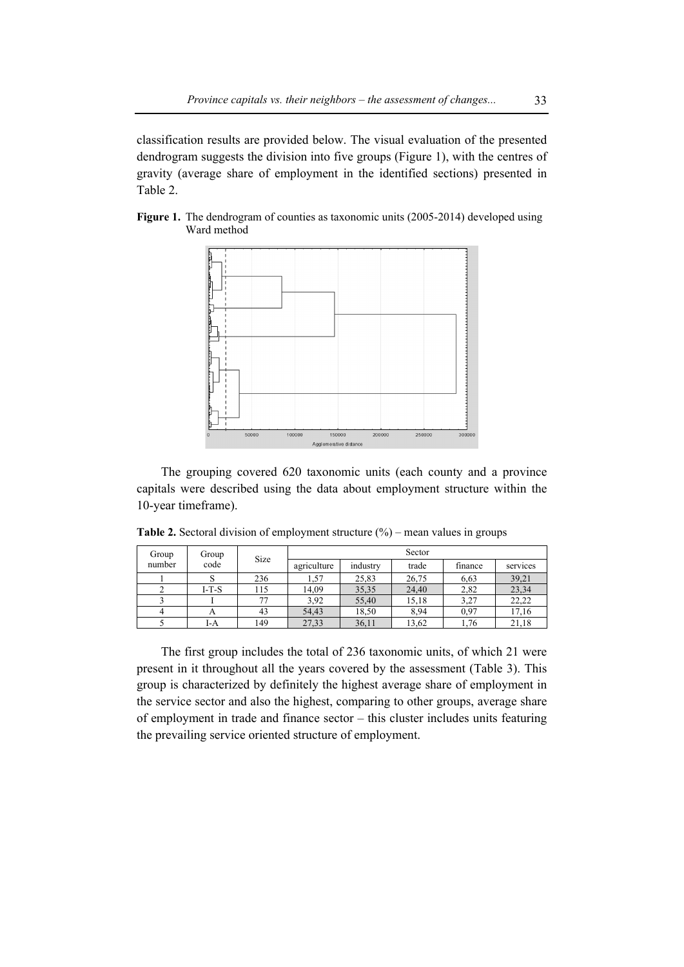classification results are provided below. The visual evaluation of the presented dendrogram suggests the division into five groups (Figure 1), with the centres of gravity (average share of employment in the identified sections) presented in Table 2.





The grouping covered 620 taxonomic units (each county and a province capitals were described using the data about employment structure within the 10-year timeframe).

**Table 2.** Sectoral division of employment structure (%) – mean values in groups

| Group  | Group   | Size |             |          | Sector |         |          |
|--------|---------|------|-------------|----------|--------|---------|----------|
| number | code    |      | agriculture | industry | trade  | finance | services |
|        |         | 236  | 1,57        | 25,83    | 26,75  | 6.63    | 39,21    |
|        | $I-T-S$ | 115  | 14,09       | 35,35    | 24,40  | 2,82    | 23,34    |
|        |         |      | 3.92        | 55,40    | 15,18  | 3,27    | 22,22    |
|        |         | 43   | 54,43       | 18,50    | 8,94   | 0.97    | 17,16    |
|        | I-A     | 149  | 27,33       | 36,11    | 13,62  | 1,76    | 21,18    |

The first group includes the total of 236 taxonomic units, of which 21 were present in it throughout all the years covered by the assessment (Table 3). This group is characterized by definitely the highest average share of employment in the service sector and also the highest, comparing to other groups, average share of employment in trade and finance sector – this cluster includes units featuring the prevailing service oriented structure of employment.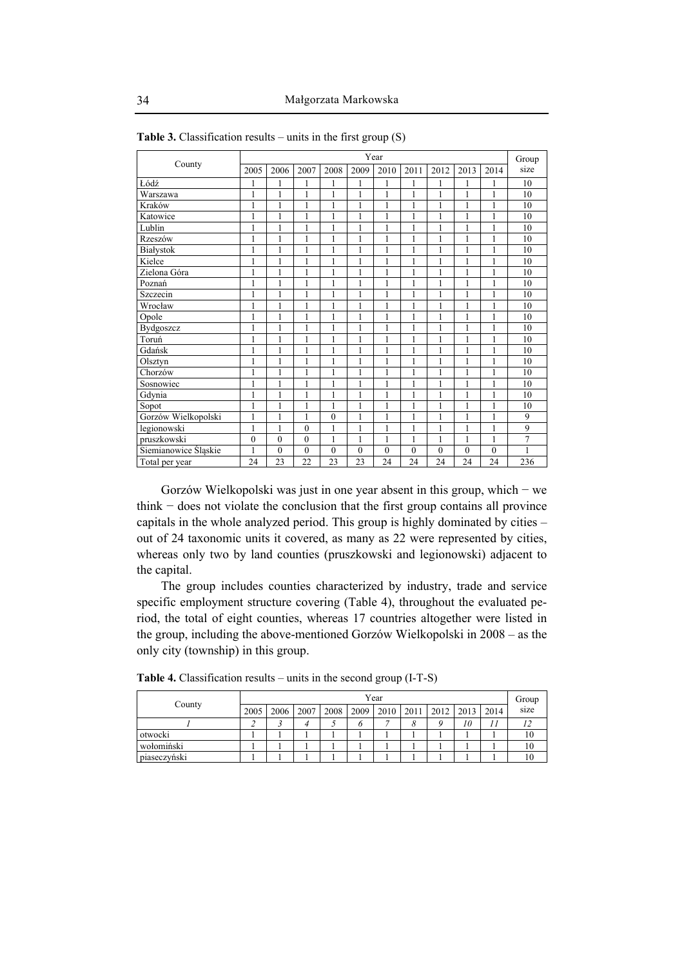|                      |                |              |              |              |              | Year         |              |              |                |          | Group |
|----------------------|----------------|--------------|--------------|--------------|--------------|--------------|--------------|--------------|----------------|----------|-------|
| County               | 2005           | 2006         | 2007         | 2008         | 2009         | 2010         | 2011         | 2012         | 2013           | 2014     | size  |
| Łódź                 | 1              |              |              | 1            | 1            | 1            | 1            | 1            |                |          | 10    |
| Warszawa             | 1              | 1            | 1            | $\mathbf{1}$ | 1            | $\mathbf{1}$ | 1            | 1            | 1              | 1        | 10    |
| Kraków               | 1              | 1            | 1            | 1            | 1            | $\mathbf{1}$ | 1            | 1            | 1              | 1        | 10    |
| Katowice             | 1              | 1            | 1            | 1            | $\mathbf{1}$ | $\mathbf{1}$ | 1            | 1            | 1              | 1        | 10    |
| Lublin               | 1              | 1            |              | $\mathbf{1}$ | 1            | $\mathbf{1}$ | 1            | 1            | 1              | 1        | 10    |
| Rzeszów              | 1              | 1            | 1            | $\mathbf{1}$ | 1            | 1            | 1            | 1            | 1              | 1        | 10    |
| Białystok            | 1              | 1            | 1            | 1            | $\mathbf{1}$ | $\mathbf{1}$ | 1            | 1            | 1              | 1        | 10    |
| Kielce               | 1              | 1            | 1            | $\mathbf{1}$ | $\mathbf{1}$ | $\mathbf{1}$ | 1            | 1            |                | 1        | 10    |
| Zielona Góra         | $\mathbf{1}$   | 1            | 1            | $\mathbf{1}$ | 1            | 1            | 1            | 1            | 1              | 1        | 10    |
| Poznań               | 1              | 1            | 1            | 1            | 1            | $\mathbf{1}$ | 1            | 1            | 1              | 1        | 10    |
| Szczecin             | $\mathbf{1}$   | 1            | 1            | $\mathbf{1}$ | $\mathbf{1}$ | $\mathbf{1}$ | 1            | 1            | 1              | 1        | 10    |
| Wrocław              | 1              | 1            | 1            | $\mathbf{1}$ | 1            | $\mathbf{1}$ | 1            | 1            | 1              | 1        | 10    |
| Opole                | 1              | 1            | 1            | $\mathbf{1}$ | 1            | 1            | 1            | 1            | 1              | 1        | 10    |
| Bydgoszcz            | 1              | 1            | 1            | $\mathbf{1}$ | $\mathbf{1}$ | $\mathbf{1}$ | $\mathbf{1}$ | 1            | 1              | 1        | 10    |
| Toruń                | 1              | 1            | 1            | 1            | 1            | 1            | 1            | 1            | 1              | 1        | 10    |
| Gdańsk               | 1              | 1            | 1            | 1            | 1            | 1            | 1            | 1            | 1              | 1        | 10    |
| Olsztyn              | 1              | 1            | 1            | 1            | 1            | 1            | 1            | 1            | 1              | 1        | 10    |
| Chorzów              | $\mathbf{1}$   | 1            | 1            | $\mathbf{1}$ | 1            | $\mathbf{1}$ | 1            | $\mathbf{1}$ | 1              | 1        | 10    |
| Sosnowiec            | $\mathbf{1}$   | 1            | 1            | 1            | 1            | $\mathbf{1}$ | 1            | 1            | 1              | 1        | 10    |
| Gdynia               | 1              | 1            | 1            | 1            | 1            | 1            | 1            | 1            | 1              | 1        | 10    |
| Sopot                | $\mathbf{1}$   | 1            | 1            | $\mathbf{1}$ | $\mathbf{1}$ | $\mathbf{1}$ | 1            | 1            | 1              | 1        | 10    |
| Gorzów Wielkopolski  | $\mathbf{1}$   | 1            | 1            | $\theta$     | $\mathbf{1}$ | $\mathbf{1}$ | 1            | 1            | 1              | 1        | 9     |
| legionowski          | $\mathbf{1}$   | 1            | $\mathbf{0}$ | 1            | 1            | 1            | 1            | 1            | 1              | 1        | 9     |
| pruszkowski          | $\overline{0}$ | $\mathbf{0}$ | $\theta$     | $\mathbf{1}$ | 1            | 1            | 1            | 1            |                | 1        | 7     |
| Siemianowice Śląskie | 1              | $\mathbf{0}$ | $\mathbf{0}$ | $\mathbf{0}$ | $\mathbf{0}$ | $\mathbf{0}$ | $\theta$     | $\theta$     | $\overline{0}$ | $\theta$ | 1     |
| Total per year       | 24             | 23           | 22           | 23           | 23           | 24           | 24           | 24           | 24             | 24       | 236   |

**Table 3.** Classification results – units in the first group (S)

Gorzów Wielkopolski was just in one year absent in this group, which − we think − does not violate the conclusion that the first group contains all province capitals in the whole analyzed period. This group is highly dominated by cities – out of 24 taxonomic units it covered, as many as 22 were represented by cities, whereas only two by land counties (pruszkowski and legionowski) adjacent to the capital.

The group includes counties characterized by industry, trade and service specific employment structure covering (Table 4), throughout the evaluated period, the total of eight counties, whereas 17 countries altogether were listed in the group, including the above-mentioned Gorzów Wielkopolski in 2008 – as the only city (township) in this group.

|              |      |      |      |           | Year |  |                                  | Group |
|--------------|------|------|------|-----------|------|--|----------------------------------|-------|
| County       | 2005 | 2006 | 2007 | 2008 2009 |      |  | 2010   2011   2012   2013   2014 | size  |
|              |      |      |      |           | ~    |  | 10                               |       |
| otwocki      |      |      |      |           |      |  |                                  | 10    |
| wołomiński   |      |      |      |           |      |  |                                  | 10.   |
| piaseczyński |      |      |      |           |      |  |                                  | 10    |

**Table 4.** Classification results – units in the second group (I-T-S)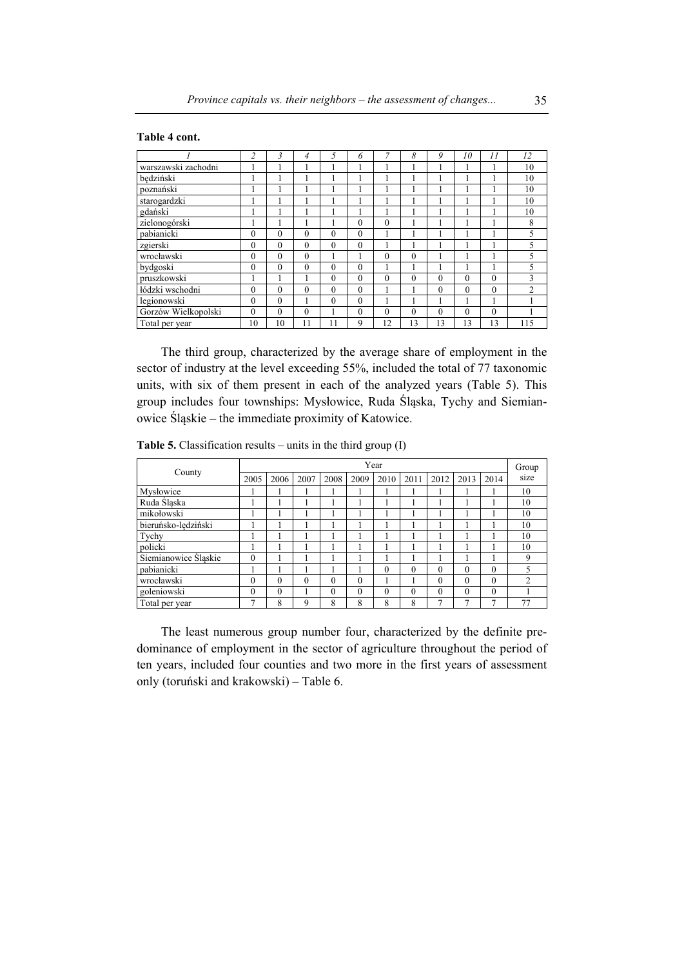### **Table 4 cont.**

|                     | 2        | 3            | 4        | 5        | 6        | $\overline{7}$ | 8        | 9        | 10       | $\frac{1}{2}$ | 12             |
|---------------------|----------|--------------|----------|----------|----------|----------------|----------|----------|----------|---------------|----------------|
| warszawski zachodni |          |              |          |          |          |                |          |          |          |               | 10             |
| będziński           |          |              |          |          |          |                |          |          |          |               | 10             |
| poznański           |          |              |          |          |          |                |          |          |          |               | 10             |
| starogardzki        |          |              |          |          |          |                |          |          |          |               | 10             |
| gdański             |          |              |          |          |          |                |          |          |          |               | 10             |
| zielonogórski       |          |              |          |          | $\theta$ | $\theta$       |          |          |          |               | 8              |
| pabianicki          | $\theta$ | $\mathbf{0}$ | $\theta$ | $\theta$ | $\theta$ |                |          |          |          |               | 5              |
| zgierski            | $\theta$ | $\theta$     | $\theta$ | $\theta$ | $\Omega$ |                |          |          | ш        |               | 5              |
| wrocławski          | $\theta$ | $\theta$     | $\theta$ |          |          | $\theta$       | $\theta$ |          |          |               | 5              |
| bydgoski            | $\theta$ | $\mathbf{0}$ | $\theta$ | $\theta$ | $\theta$ |                |          |          |          |               | 5              |
| pruszkowski         |          |              |          | $\theta$ | $\theta$ | $\theta$       | $\theta$ | $\Omega$ | $\theta$ | $\theta$      | 3              |
| łódzki wschodni     | $\Omega$ | $\theta$     | $\Omega$ | $\theta$ | $\theta$ |                |          | $\theta$ | $\theta$ | $\theta$      | $\overline{2}$ |
| legionowski         | $\theta$ | $\theta$     |          | $\theta$ | $\theta$ |                |          |          |          |               |                |
| Gorzów Wielkopolski | $\theta$ | $\theta$     | $\theta$ |          | $\theta$ | $\mathbf{0}$   | $\theta$ | $\theta$ | $\theta$ | $\theta$      |                |
| Total per year      | 10       | 10           | 11       | 11       | 9        | 12             | 13       | 13       | 13       | 13            | 115            |

The third group, characterized by the average share of employment in the sector of industry at the level exceeding 55%, included the total of 77 taxonomic units, with six of them present in each of the analyzed years (Table 5). This group includes four townships: Mysłowice, Ruda Śląska, Tychy and Siemianowice Śląskie – the immediate proximity of Katowice.

**Table 5.** Classification results – units in the third group (I)

|                      |               |          |          |          |          | Year     |          |              |              |              | Group          |
|----------------------|---------------|----------|----------|----------|----------|----------|----------|--------------|--------------|--------------|----------------|
| County               | 2005          | 2006     | 2007     | 2008     | 2009     | 2010     | 2011     | 2012         | 2013         | 2014         | size           |
| Mysłowice            |               |          |          |          |          |          |          |              |              |              | 10             |
| Ruda Śląska          |               |          |          |          |          |          |          |              |              |              | 10             |
| mikołowski           |               |          |          |          |          |          |          |              |              |              | 10             |
| bieruńsko-lędziński  |               |          |          |          |          |          |          |              |              |              | 10             |
| Tychy                |               |          |          |          |          |          |          |              |              |              | 10             |
| policki              |               |          |          |          |          |          |          |              |              |              | 10             |
| Siemianowice Śląskie | $\theta$      |          |          |          |          |          |          |              |              |              | 9              |
| pabianicki           |               |          |          |          |          | $\theta$ | $\theta$ | $\theta$     | $\Omega$     | $\theta$     | 5              |
| wrocławski           | $\theta$      | $\theta$ | $\theta$ | 0        | $\theta$ |          |          | $\theta$     | $\theta$     | $\theta$     | $\overline{c}$ |
| goleniowski          | $\theta$      | $\Omega$ |          | $\theta$ | $\Omega$ | $\theta$ | $\Omega$ | $\theta$     | $\theta$     | $\theta$     |                |
| Total per year       | $\mathcal{I}$ | 8        | 9        | 8        | 8        | 8        | 8        | $\mathbf{r}$ | $\mathbf{r}$ | $\mathbf{r}$ | 77             |

The least numerous group number four, characterized by the definite predominance of employment in the sector of agriculture throughout the period of ten years, included four counties and two more in the first years of assessment only (toruński and krakowski) – Table 6.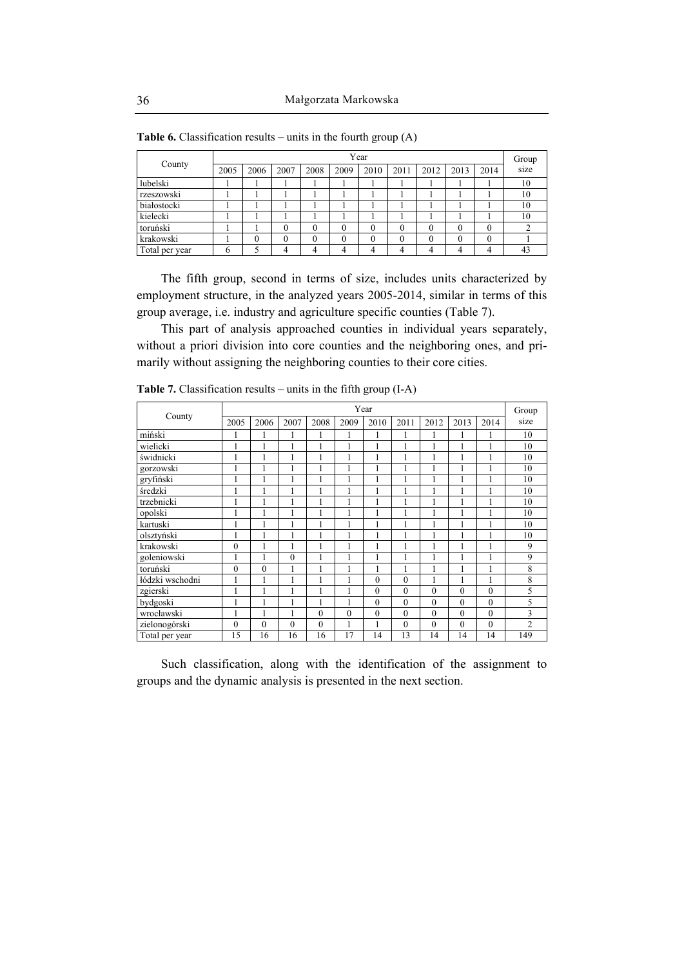| County         |      |      |      |          |      | Year |          |      |      |          | Group |
|----------------|------|------|------|----------|------|------|----------|------|------|----------|-------|
|                | 2005 | 2006 | 2007 | 2008     | 2009 | 2010 | 2011     | 2012 | 2013 | 2014     | size  |
| lubelski       |      |      |      |          |      |      |          |      |      |          | 10    |
| rzeszowski     |      |      |      |          |      |      |          |      |      |          | 10    |
| białostocki    |      |      |      |          |      |      |          |      |      |          | 10    |
| kielecki       |      |      |      |          |      |      |          |      |      |          | 10    |
| toruński       |      |      |      | $\theta$ | 0    | 0    | $\theta$ | 0    | 0    | $\Omega$ |       |
| krakowski      |      | 0    | 0    | $\Omega$ | 0    | 0    | $_{0}$   |      | 0    | $\theta$ |       |
| Total per year | 6    |      |      | 4        | 4    |      | 4        | 4    |      | 4        | 43    |

**Table 6.** Classification results – units in the fourth group (A)

The fifth group, second in terms of size, includes units characterized by employment structure, in the analyzed years 2005-2014, similar in terms of this group average, i.e. industry and agriculture specific counties (Table 7).

This part of analysis approached counties in individual years separately, without a priori division into core counties and the neighboring ones, and primarily without assigning the neighboring counties to their core cities.

| County          |                |              |              |          |          | Year         |          |          |              |              | Group          |
|-----------------|----------------|--------------|--------------|----------|----------|--------------|----------|----------|--------------|--------------|----------------|
|                 | 2005           | 2006         | 2007         | 2008     | 2009     | 2010         | 2011     | 2012     | 2013         | 2014         | size           |
| miński          | 1              | 1            | 1            | 1        | 1        |              | 1        | 1        | 1            | 1            | 10             |
| wielicki        | 1              | 1            | 1            | 1        | 1        |              | 1        | 1        | 1            | 1            | 10             |
| świdnicki       | 1              |              | 1            |          |          |              |          | 1        |              |              | 10             |
| gorzowski       | 1              | 1            | 1            | 1        |          | 1            |          | 1        | $\mathbf{1}$ | 1            | 10             |
| gryfiński       | 1              | 1            | $\mathbf{1}$ | 1        | 1        |              | 1        | 1        | $\mathbf{1}$ | 1            | 10             |
| średzki         | 1              |              | 1            |          | 1        |              |          | 1        |              | 1            | 10             |
| trzebnicki      | 1              | $\mathbf{1}$ | 1            | 1        | 1        |              |          | 1        | 1            | 1            | 10             |
| opolski         | 1              | 1            | $\mathbf{1}$ | 1        | 1        |              | 1        | 1        | 1            | 1            | 10             |
| kartuski        | 1              | f.           | 1            | 1        |          | ٦            | 1        | 1        | $\mathbf{I}$ | 1            | 10             |
| olsztvński      | 1              |              | 1            |          |          |              |          | 1        |              | 1            | 10             |
| krakowski       | $\mathbf{0}$   |              | 1            | 1        |          |              |          | 1        |              | 1            | 9              |
| goleniowski     | 1              | 1            | $\mathbf{0}$ | 1        | 1        |              | 1        | 1        | 1            | 1            | 9              |
| toruński        | $\mathbf{0}$   | $\theta$     | 1            | 1        | 1        |              | 1        | 1        | $\mathbf{1}$ | $\mathbf{1}$ | 8              |
| łódzki wschodni | 1              |              | 1            |          |          | $\mathbf{0}$ | $\theta$ | 1        | $\mathbf{I}$ | 1            | 8              |
| zgierski        | 1              | 1            | 1            | 1        | 1        | $\theta$     | $\theta$ | $\theta$ | $\theta$     | $\theta$     | 5              |
| bydgoski        | 1              | 1            | $\mathbf{1}$ | 1        | 1        | $\theta$     | $\theta$ | $\theta$ | $\theta$     | $\theta$     | 5              |
| wrocławski      | 1              |              | 1            | $\theta$ | $\theta$ | $\mathbf{0}$ | $\theta$ | $\theta$ | $\theta$     | $\theta$     | 3              |
| zielonogórski   | $\overline{0}$ | $\theta$     | $\theta$     | $\theta$ | 1        |              | $\theta$ | $\theta$ | $\theta$     | $\theta$     | $\overline{c}$ |
| Total per year  | 15             | 16           | 16           | 16       | 17       | 14           | 13       | 14       | 14           | 14           | 149            |

**Table 7.** Classification results – units in the fifth group (I-A)

Such classification, along with the identification of the assignment to groups and the dynamic analysis is presented in the next section.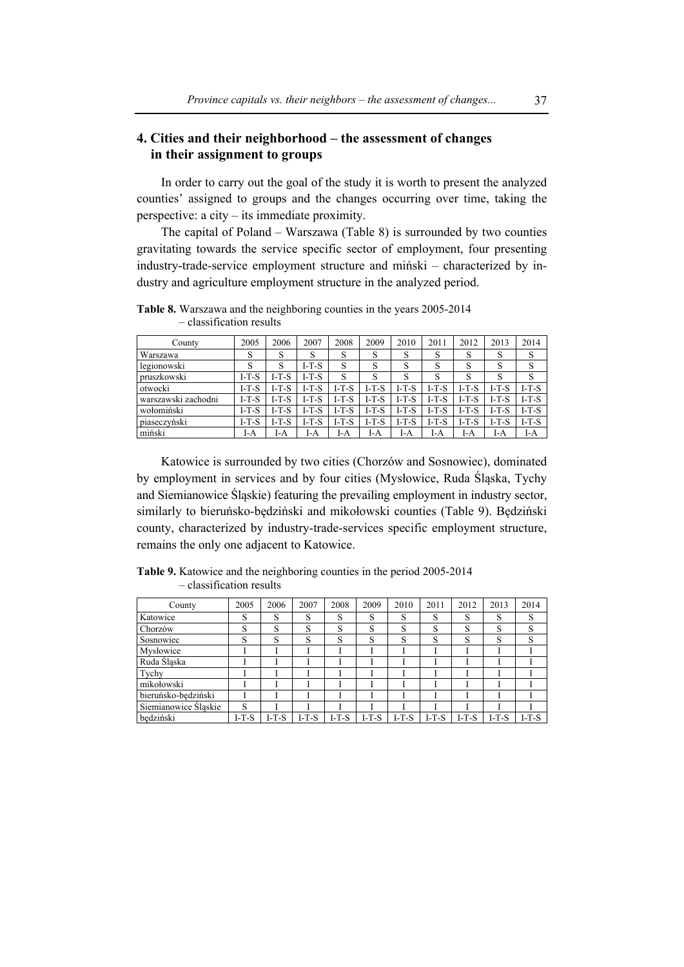## **4. Cities and their neighborhood – the assessment of changes in their assignment to groups**

In order to carry out the goal of the study it is worth to present the analyzed counties' assigned to groups and the changes occurring over time, taking the perspective: a city – its immediate proximity.

The capital of Poland – Warszawa (Table 8) is surrounded by two counties gravitating towards the service specific sector of employment, four presenting industry-trade-service employment structure and miński – characterized by industry and agriculture employment structure in the analyzed period.

| County              | 2005    | 2006    | 2007    | 2008    | 2009    | 2010    | 2011    | 2012    | 2013    | 2014    |
|---------------------|---------|---------|---------|---------|---------|---------|---------|---------|---------|---------|
| Warszawa            | c<br>O  | S       | S       | S       | S       | S       | S       | S       | S       | S       |
| legionowski         | c       | S       | $I-T-S$ | S       | S       | S       |         | S       | S       | S       |
| pruszkowski         | $I-T-S$ | $I-T-S$ | $I-T-S$ | S       | S       | S       |         | S       | S       | S       |
| otwocki             | $I-T-S$ | $I-T-S$ | $I-T-S$ | $I-T-S$ | $I-T-S$ | $I-T-S$ | $I-T-S$ | $I-T-S$ | $I-T-S$ | $I-T-S$ |
| warszawski zachodni | $I-T-S$ | $I-T-S$ | $I-T-S$ | $I-T-S$ | $I-T-S$ | $I-T-S$ | $I-T-S$ | $I-T-S$ | $I-T-S$ | $I-T-S$ |
| wołomiński          | $I-T-S$ | $I-T-S$ | $I-T-S$ | $I-T-S$ | $I-T-S$ | $I-T-S$ | $I-T-S$ | $I-T-S$ | $I-T-S$ | $I-T-S$ |
| piaseczyński        | $I-T-S$ | $I-T-S$ | $I-T-S$ | $I-T-S$ | $I-T-S$ | $I-T-S$ | $I-T-S$ | $I-T-S$ | $I-T-S$ | $I-T-S$ |
| miński              | I-A     | I-A     | I-A     | I-A     | I-A     | I-A     | I-A     | I-A     | I-A     | I-A     |

**Table 8.** Warszawa and the neighboring counties in the years 2005-2014 – classification results

Katowice is surrounded by two cities (Chorzów and Sosnowiec), dominated by employment in services and by four cities (Mysłowice, Ruda Śląska, Tychy and Siemianowice Śląskie) featuring the prevailing employment in industry sector, similarly to bieruńsko-będziński and mikołowski counties (Table 9). Będziński county, characterized by industry-trade-services specific employment structure, remains the only one adjacent to Katowice.

**Table 9.** Katowice and the neighboring counties in the period 2005-2014 – classification results

| County               | 2005    | 2006    | 2007    | 2008  | 2009    | 2010    | 2011    | 2012    | 2013    | 2014    |
|----------------------|---------|---------|---------|-------|---------|---------|---------|---------|---------|---------|
| Katowice             | S       | S       | S       | S     | S       | S       | S       | S       | S       | S       |
| Chorzów              | S       | S       | S       | S     | S       | S       | S       | S       | S       | S       |
| Sosnowiec            | S       | S       | S       | S     | S       | S       | S       | S       | S       | S       |
| Mysłowice            |         |         |         |       |         |         |         |         |         |         |
| Ruda Ślaska          |         |         |         |       |         |         |         |         |         |         |
| Tychy                |         |         |         |       |         |         |         |         |         |         |
| mikołowski           |         |         |         |       |         |         |         |         |         |         |
| bieruńsko-bedziński  |         |         |         |       |         |         |         |         |         |         |
| Siemianowice Śląskie | S       |         |         |       |         |         |         |         |         |         |
| bedziński            | $I-T-S$ | $I-T-S$ | $I-T-S$ | I-T-S | $I-T-S$ | $I-T-S$ | $I-T-S$ | $I-T-S$ | $I-T-S$ | $I-T-S$ |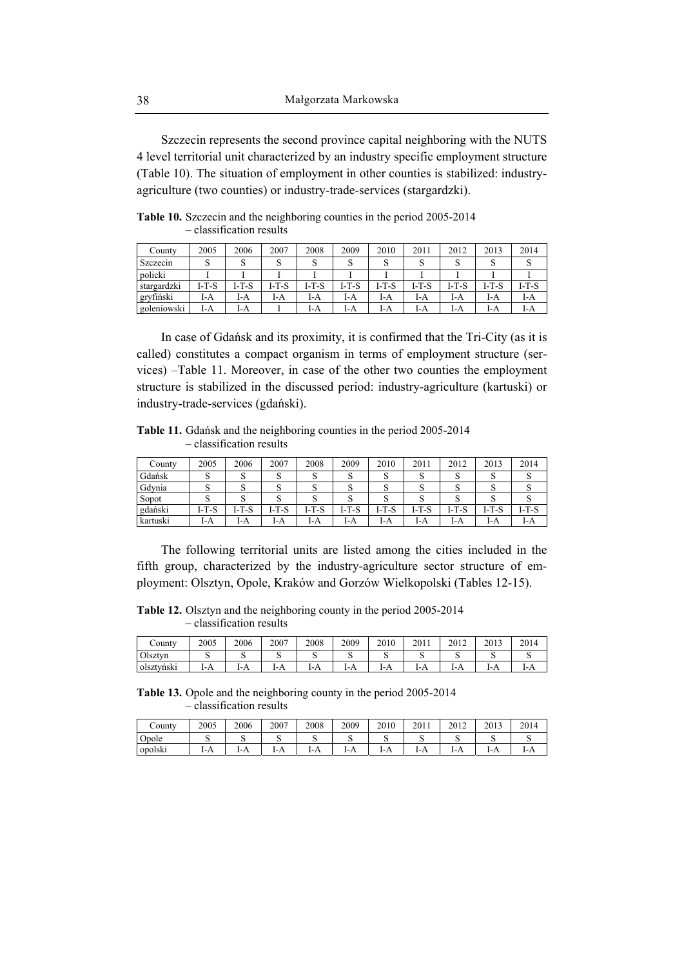Szczecin represents the second province capital neighboring with the NUTS 4 level territorial unit characterized by an industry specific employment structure (Table 10). The situation of employment in other counties is stabilized: industryagriculture (two counties) or industry-trade-services (stargardzki).

| County      | 2005  | 2006    | 2007  | 2008  | 2009  | 2010  | 2011    | 2012    | 2013    | 2014    |
|-------------|-------|---------|-------|-------|-------|-------|---------|---------|---------|---------|
| Szczecin    |       |         |       |       |       |       |         |         |         |         |
| policki     |       |         |       |       |       |       |         |         |         |         |
| stargardzki | I-T-S | $I-T-S$ | I-T-S | I-T-S | I-T-S | I-T-S | $I-T-S$ | $I-T-S$ | $I-T-S$ | $I-T-S$ |
| gryfiński   | I-A   | I-A     | I-A   | I-A   | I-A   | I-A   | I-A     | I-A     | I-A     | I-A     |
| goleniowski | I-A   | I-A     |       | I-A   | I-A   | I-A   | I-A     | I-A     | I-A     | I-A     |

**Table 10.** Szczecin and the neighboring counties in the period 2005-2014 – classification results

In case of Gdańsk and its proximity, it is confirmed that the Tri-City (as it is called) constitutes a compact organism in terms of employment structure (services) –Table 11. Moreover, in case of the other two counties the employment structure is stabilized in the discussed period: industry-agriculture (kartuski) or industry-trade-services (gdański).

**Table 11.** Gdańsk and the neighboring counties in the period 2005-2014 – classification results

| County   | 2005  | 2006    | 2007  | 2008    | 2009  | 2010    | 2011    | 2012    | 2013    | 2014    |
|----------|-------|---------|-------|---------|-------|---------|---------|---------|---------|---------|
| Gdańsk   |       |         | ື     |         | ື     |         |         | ັ       |         |         |
| Gdynia   | ື     |         | ື     | ັ       | ື     |         |         | ω       |         | ື       |
| Sopot    |       |         |       |         |       |         |         |         |         |         |
| gdański  | I-T-S | $I-T-S$ | I-T-S | $I-T-S$ | I-T-S | $I-T-S$ | $I-T-S$ | $I-T-S$ | $I-T-S$ | $I-T-S$ |
| kartuski | I-A   | I-A     | I-A   | I-A     | I-A   | I-A     | I-A     | I-A     | I-A     | I-A     |

The following territorial units are listed among the cities included in the fifth group, characterized by the industry-agriculture sector structure of employment: Olsztyn, Opole, Kraków and Gorzów Wielkopolski (Tables 12-15).

**Table 12.** Olsztyn and the neighboring county in the period 2005-2014 – classification results

| $\mathcal{L}$ ounty | 2005 | 2006 | 2007 | 2008 | 2009 | 2010 | 2011 | 2012 | 2013 | 2014 |
|---------------------|------|------|------|------|------|------|------|------|------|------|
| Olsztyn             | ◡    |      | ັ    | ັ    | ັ    | ∼    | ມ    | ັ    |      | ັ    |
| .<br>olsztyński     | 1-A  | 1-A  | 1-A  | 1-A  | 171  | 1-A  | 1-A  | 1-A  | 1-A  | I-A  |

**Table 13.** Opole and the neighboring county in the period 2005-2014 – classification results

| $\mathcal{L}$ ounty | 2005 | 2006 | 2007 | 2008 | 2009 | 2010 | 2011 | 2012 | 2013     | 2014 |
|---------------------|------|------|------|------|------|------|------|------|----------|------|
| Opole               |      | ີ    | ັ    | ∼    | ັ    | ັ    | ັ    | ີ    | ີ        | ີ    |
| opolski             | 1-A  | 1-A  | 1-A  | 1-A  | 1-A  | 1-A  | 1-A  | . .  | . .<br>. | 1-A  |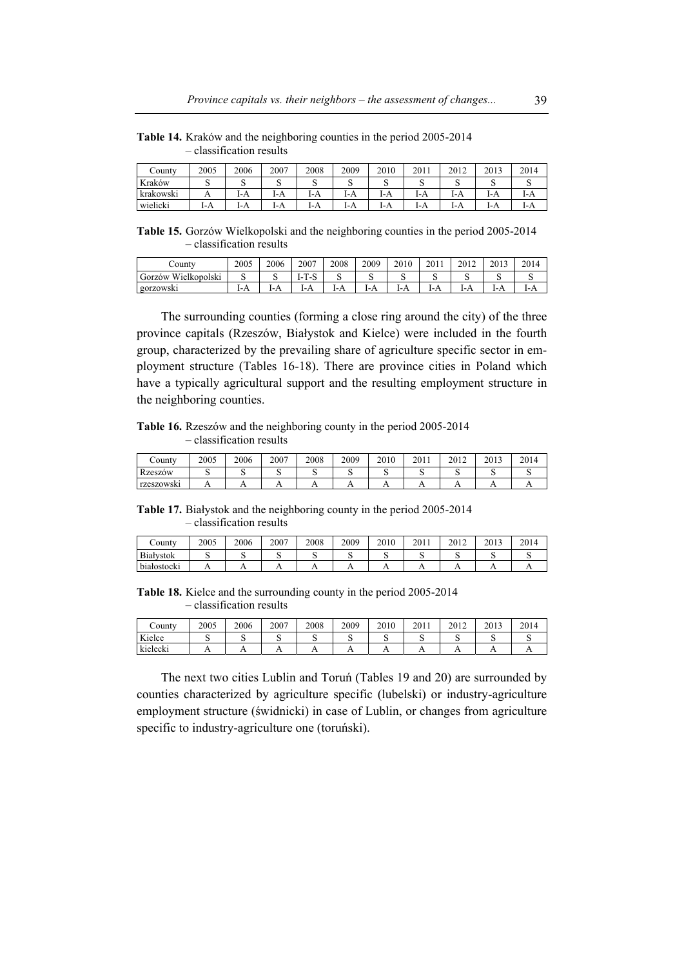| County           | 2005 | 2006 | 2007 | 2008 | 2009 | 2010 | 2011 | 2012 | 2013 | 2014 |
|------------------|------|------|------|------|------|------|------|------|------|------|
| Kraków           | ີ    | ◡    | ω    | ω    | ີ    | ω    | ມ    | ◡    | ∼    | ມ    |
| . .<br>krakowski |      | I-A  | I-A  | I-A  | I-A  | I-A  | I-A  | I-A  | I-A  | I-A  |
| wielicki         | I-A  | I-A  | I-A  | I-A  | I-A  | I-A  | I-A  | I-A  | I-A  | I-A  |

**Table 14.** Kraków and the neighboring counties in the period 2005-2014 – classification results

**Table 15.** Gorzów Wielkopolski and the neighboring counties in the period 2005-2014 – classification results

| $\mathsf{countv}$      | 2005 | 2006 | 2007     | 2008 | 2009 | 2010 | 2011 | 2012 | 2013 | 2014 |
|------------------------|------|------|----------|------|------|------|------|------|------|------|
| Wielkopolski<br>Gorzów | ື    | ຼ    | m<br>. . |      | . .  | ◡    | ມ    | ື    | ມ    | ີ    |
| gorzowski              | . .  |      | 1-A      | 1-A  |      | 1-A  | 1-A  | 1-A  | 1-A  | 1-A  |

The surrounding counties (forming a close ring around the city) of the three province capitals (Rzeszów, Białystok and Kielce) were included in the fourth group, characterized by the prevailing share of agriculture specific sector in employment structure (Tables 16-18). There are province cities in Poland which have a typically agricultural support and the resulting employment structure in the neighboring counties.

**Table 16.** Rzeszów and the neighboring county in the period 2005-2014 – classification results

| $\mathsf{countv}$ | 2005 | 2006 | 2007           | 2008 | 2009 | 2010 | 2011 | 2012 | 2013 | 2014 |
|-------------------|------|------|----------------|------|------|------|------|------|------|------|
| <b>Rzeszów</b>    |      |      |                |      |      |      |      |      |      |      |
| rzeszowski        |      |      | $\overline{1}$ |      |      |      |      |      |      |      |

**Table 17.** Białystok and the neighboring county in the period 2005-2014 – classification results

| County                      | 2005 | 2006 | 2007           | 2008 | 2009 | 2010 | 2011           | 2012 | 2013 | 2014 |
|-----------------------------|------|------|----------------|------|------|------|----------------|------|------|------|
| Białystok                   |      |      |                |      |      | ∼    |                |      |      |      |
| $\cdot$<br>.<br>białostocki |      |      | $\overline{1}$ | . .  | . .  | . .  | $\overline{1}$ | . .  | . .  | . .  |

**Table 18.** Kielce and the surrounding county in the period 2005-2014 – classification results

| $\mathsf{countv}$ | 2005 | 2006 | 2007           | 2008 | 2009 | 2010 | 2011           | 2012 | 2013 | 2014 |
|-------------------|------|------|----------------|------|------|------|----------------|------|------|------|
| Kielce            |      | ີ    | ັ              | ີ    | ∼    | ື    | ັ              |      |      |      |
| kielecki          |      |      | $\overline{ }$ | . .  |      |      | $\overline{1}$ |      |      |      |

The next two cities Lublin and Toruń (Tables 19 and 20) are surrounded by counties characterized by agriculture specific (lubelski) or industry-agriculture employment structure (świdnicki) in case of Lublin, or changes from agriculture specific to industry-agriculture one (toruński).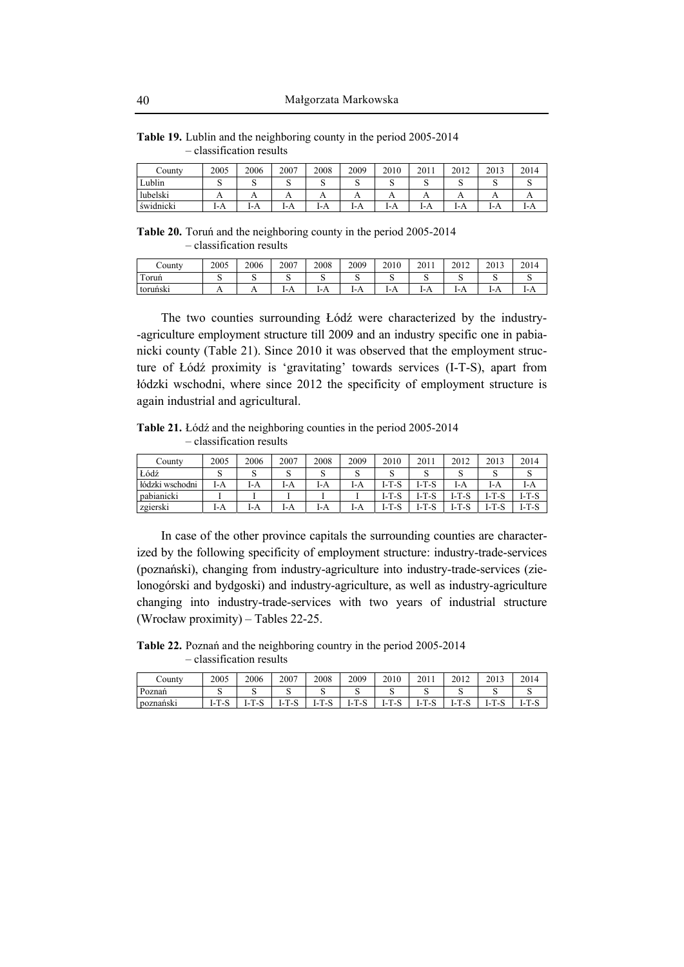| County    | 2005 | 2006 | 2007     | 2008     | 2009     | 2010 | 2011 | 2012 | 2013 | 2014 |
|-----------|------|------|----------|----------|----------|------|------|------|------|------|
| Lublin    |      |      |          |          | ີ        | ີ    |      |      | ີ    |      |
| lubelski  |      |      | $\Gamma$ | $\Gamma$ | $\Gamma$ |      |      |      |      |      |
| świdnicki | l-A  | I-A  | I-A      | I-A      | I-A      | 1-A  | l-A  | 1-A  | 1-A  | 1-A  |

**Table 19.** Lublin and the neighboring county in the period 2005-2014 – classification results

**Table 20.** Toruń and the neighboring county in the period 2005-2014 – classification results

| $\mathcal{L}$ ounty | 2005           | 2006 | 2007 | 2008       | 2009 | 2010     | 2011 | 2012       | 2013       | 2014 |
|---------------------|----------------|------|------|------------|------|----------|------|------------|------------|------|
| m<br>Toruń          |                |      |      |            | ້    | ຼ        |      |            |            |      |
| toruński            | $\overline{1}$ | 1 L  | 1-A  | . .<br>171 | 1-A  | . .<br>. | 1-A  | . .<br>171 | n<br>$1-A$ | 1-A  |

The two counties surrounding Łódź were characterized by the industry- -agriculture employment structure till 2009 and an industry specific one in pabianicki county (Table 21). Since 2010 it was observed that the employment structure of Łódź proximity is 'gravitating' towards services (I-T-S), apart from łódzki wschodni, where since 2012 the specificity of employment structure is again industrial and agricultural.

**Table 21.** Łódź and the neighboring counties in the period 2005-2014 – classification results

| County          | 2005 | 2006 | 2007 | 2008 | 2009 | 2010        | 2011    | 2012    | 2013  | 2014  |
|-----------------|------|------|------|------|------|-------------|---------|---------|-------|-------|
| Łódź            | ີ    | ш    |      |      | ມ    | u           |         |         |       |       |
| łódzki wschodni | I-A  | I-A  | I-A  | I-A  | I-A  | I-T-S       | I-T-S   | l-A     | I-A   | l-A   |
| pabianicki      |      |      |      |      |      | I-T-S       | I-T-S   | I-T-S   | I-T-S | I-T-S |
| zgierski        | I-A  | l-A  | I-A  | I-A  | I-A  | -T-S<br>1-7 | $I-T-S$ | $I-T-S$ | I-T-S | I-T-S |

In case of the other province capitals the surrounding counties are characterized by the following specificity of employment structure: industry-trade-services (poznański), changing from industry-agriculture into industry-trade-services (zielonogórski and bydgoski) and industry-agriculture, as well as industry-agriculture changing into industry-trade-services with two years of industrial structure (Wrocław proximity) – Tables 22-25.

**Table 22.** Poznań and the neighboring country in the period 2005-2014 – classification results

| County    | 2005                 | 2006    | 2007      | 2008        | 2009 | 2010                   | 2011<br>20 L.                            | 2012                                 | 2013                            | 2014       |
|-----------|----------------------|---------|-----------|-------------|------|------------------------|------------------------------------------|--------------------------------------|---------------------------------|------------|
| Poznań    | ຼ                    | ີ       |           | ◡           | ີ    |                        |                                          |                                      | ີ                               |            |
| poznański | <b>T</b><br>$-1$<br> | -0<br>- | - 3<br>ь. | . ა<br>$-1$ | ı-   | <b>T</b><br>- -<br>. . | <b>T</b><br>. <u>.</u><br>$\overline{ }$ | m<br>. ಎ<br>$\overline{\phantom{0}}$ | $\sim$<br>- 3<br>$\overline{ }$ | -15<br>. . |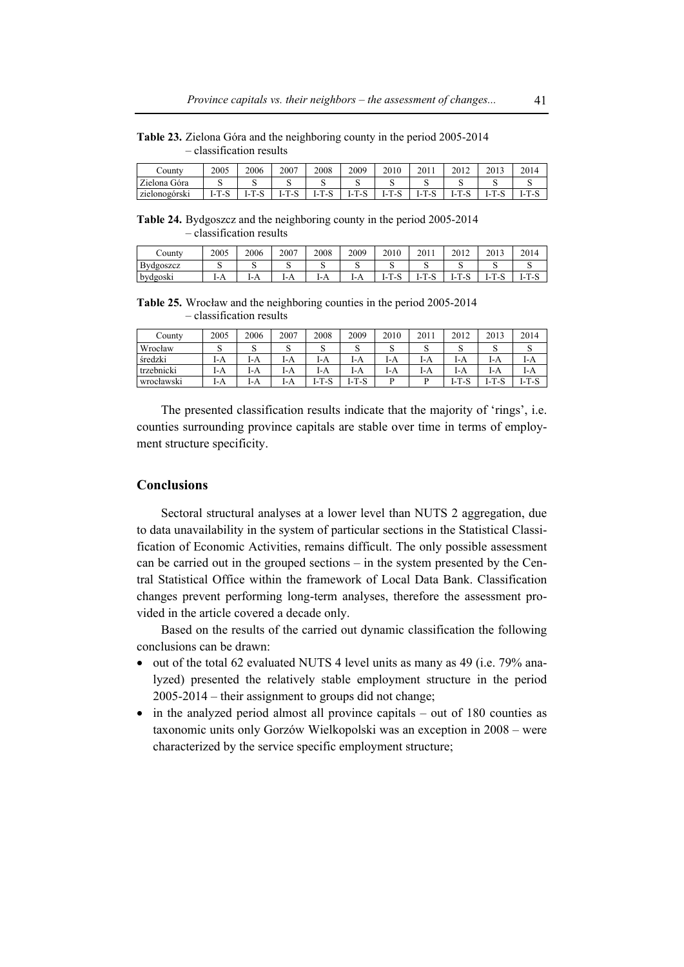**Table 23.** Zielona Góra and the neighboring county in the period 2005-2014 – classification results

| $\sqrt{\text{6}}$ | 2005                               | 2006                     | 2007                            | 2008             | 2009 | 2010              | 201      | 2012               | 2013     | 2014 |
|-------------------|------------------------------------|--------------------------|---------------------------------|------------------|------|-------------------|----------|--------------------|----------|------|
| Zielona Góra      |                                    |                          |                                 | ◡                | ີ    | ◡                 |          |                    | ◡        | ີ    |
| zielonogórski     | <b>CONTRACTOR</b><br>ت− '<br>1- L. | $\sim$<br>m<br>۰.<br>. . | $\sim$<br>$\blacksquare$<br>. . | m<br>$\sim$<br>ь | ı-   | $\sim$<br>۰<br>۰. | m<br>. . | $\sim$<br>. .<br>٠ | m<br>. . | ь    |

**Table 24.** Bydgoszcz and the neighboring county in the period 2005-2014 – classification results

| $\mathcal{L}$ ounty | 2005 | 2006 | 2007 | 2008 | 2009 | 2010         | 201                                | 2012 | 2013         | 2014      |
|---------------------|------|------|------|------|------|--------------|------------------------------------|------|--------------|-----------|
| Bydgoszcz           |      | ີ    | ີ    | ້    | ັ    | ັ            | ີ                                  |      | ◡            |           |
| bydgoski            | 1-A  | 1-A  | 1-A  | 1-A  | l-A  | m<br>. .<br> | <b>TIL</b><br>$\sim$<br>- 3<br>. . | -    | m<br>. .<br> | ı-<br>150 |

**Table 25.** Wrocław and the neighboring counties in the period 2005-2014 – classification results

| County     | 2005 | 2006   | 2007 | 2008        | 2009        | 2010 | 2011 | 2012             | 2013                      | 2014       |
|------------|------|--------|------|-------------|-------------|------|------|------------------|---------------------------|------------|
| Wrocław    | ມ    | ົ<br>ى | ى    | $\sim$<br>د | $\sim$<br>د | ى    | ω    | ш                | ں                         | ມ          |
| średzki    | I-A  | I-A    | I-A  | I-A         | I-A         | I-A  | I-A  | l-A              | I-A                       | l-A        |
| trzebnicki | I-A  | I-A    | I-A  | I-A         | I-A         | l-A  | I-A  | l-A              | I-A                       | I-A        |
| wrocławski | I-A  | I-A    | I-A  | I-T-S       | $I-T-S$     | D    | n    | $T-S$<br>$1 - 1$ | 1-T.<br>$\mathbf C$<br>-0 | -T-S<br>ı- |

The presented classification results indicate that the majority of 'rings', i.e. counties surrounding province capitals are stable over time in terms of employment structure specificity.

## **Conclusions**

Sectoral structural analyses at a lower level than NUTS 2 aggregation, due to data unavailability in the system of particular sections in the Statistical Classification of Economic Activities, remains difficult. The only possible assessment can be carried out in the grouped sections – in the system presented by the Central Statistical Office within the framework of Local Data Bank. Classification changes prevent performing long-term analyses, therefore the assessment provided in the article covered a decade only.

Based on the results of the carried out dynamic classification the following conclusions can be drawn:

- out of the total 62 evaluated NUTS 4 level units as many as 49 (i.e. 79% analyzed) presented the relatively stable employment structure in the period 2005-2014 – their assignment to groups did not change;
- in the analyzed period almost all province capitals out of 180 counties as taxonomic units only Gorzów Wielkopolski was an exception in 2008 – were characterized by the service specific employment structure;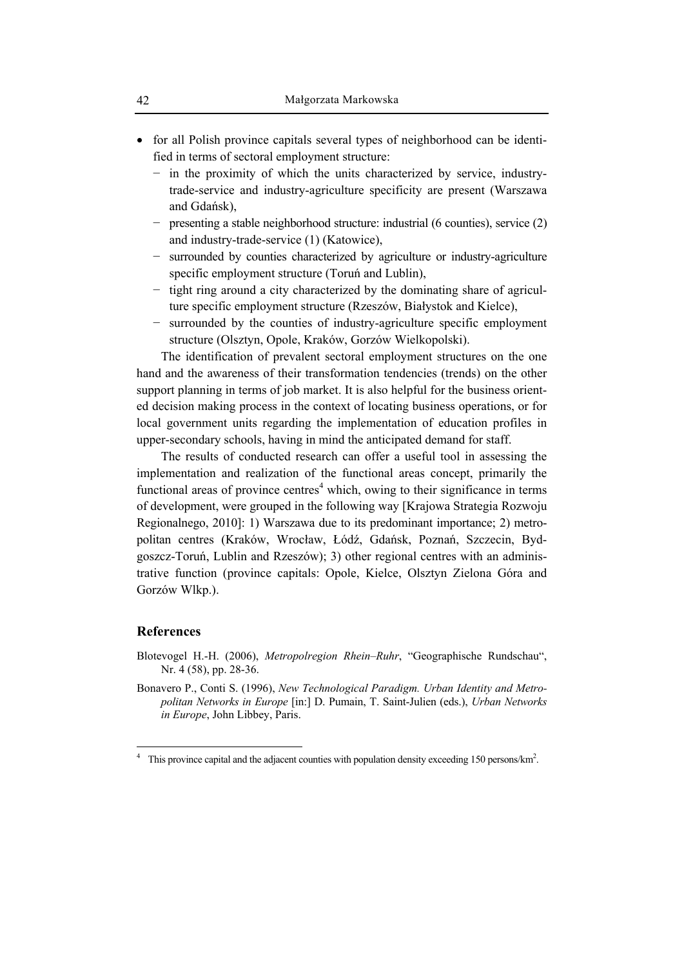- for all Polish province capitals several types of neighborhood can be identified in terms of sectoral employment structure:
	- − in the proximity of which the units characterized by service, industrytrade-service and industry-agriculture specificity are present (Warszawa and Gdańsk),
	- − presenting a stable neighborhood structure: industrial (6 counties), service (2) and industry-trade-service (1) (Katowice),
	- − surrounded by counties characterized by agriculture or industry-agriculture specific employment structure (Toruń and Lublin),
	- − tight ring around a city characterized by the dominating share of agriculture specific employment structure (Rzeszów, Białystok and Kielce),
	- − surrounded by the counties of industry-agriculture specific employment structure (Olsztyn, Opole, Kraków, Gorzów Wielkopolski).

The identification of prevalent sectoral employment structures on the one hand and the awareness of their transformation tendencies (trends) on the other support planning in terms of job market. It is also helpful for the business oriented decision making process in the context of locating business operations, or for local government units regarding the implementation of education profiles in upper-secondary schools, having in mind the anticipated demand for staff.

The results of conducted research can offer a useful tool in assessing the implementation and realization of the functional areas concept, primarily the functional areas of province centres<sup>4</sup> which, owing to their significance in terms of development, were grouped in the following way [Krajowa Strategia Rozwoju Regionalnego, 2010]: 1) Warszawa due to its predominant importance; 2) metropolitan centres (Kraków, Wrocław, Łódź, Gdańsk, Poznań, Szczecin, Bydgoszcz-Toruń, Lublin and Rzeszów); 3) other regional centres with an administrative function (province capitals: Opole, Kielce, Olsztyn Zielona Góra and Gorzów Wlkp.).

#### **References**

 $\overline{a}$ 

- Blotevogel H.-H. (2006), *Metropolregion Rhein–Ruhr*, "Geographische Rundschau", Nr. 4 (58), pp. 28-36.
- Bonavero P., Conti S. (1996), *New Technological Paradigm. Urban Identity and Metropolitan Networks in Europe* [in:] D. Pumain, T. Saint-Julien (eds.), *Urban Networks in Europe*, John Libbey, Paris.

<sup>4</sup> This province capital and the adjacent counties with population density exceeding 150 persons/km<sup>2</sup>.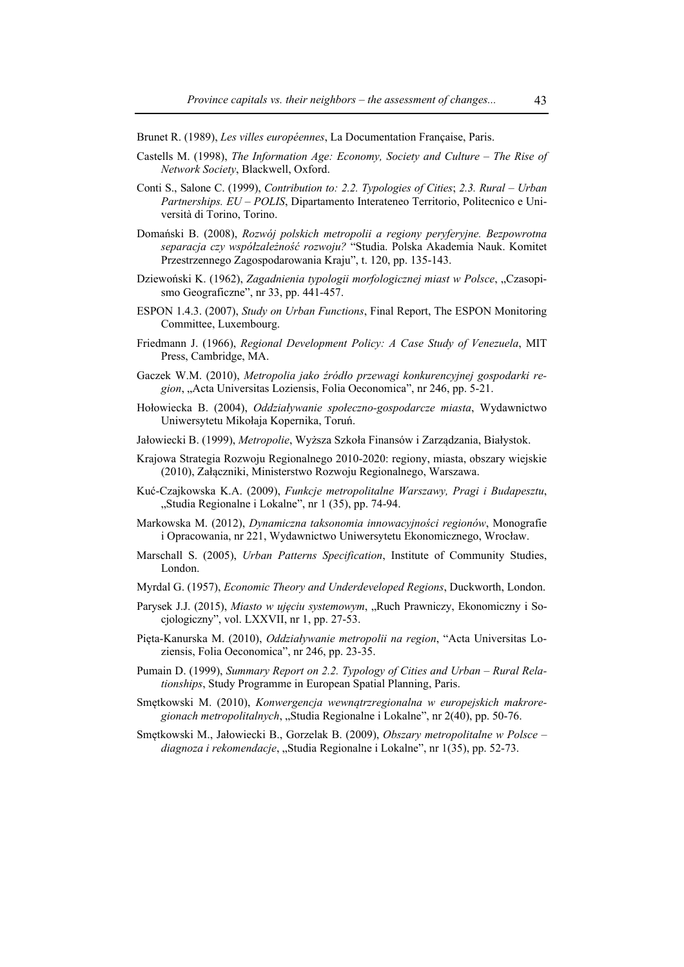Brunet R. (1989), *Les villes européennes*, La Documentation Française, Paris.

- Castells M. (1998), *The Information Age: Economy, Society and Culture The Rise of Network Society*, Blackwell, Oxford.
- Conti S., Salone C. (1999), *Contribution to: 2.2. Typologies of Cities*; *2.3. Rural Urban Partnerships. EU – POLIS*, Dipartamento Interateneo Territorio, Politecnico e Università di Torino, Torino.
- Domański B. (2008), *Rozwój polskich metropolii a regiony peryferyjne. Bezpowrotna separacja czy współzależność rozwoju?* "Studia. Polska Akademia Nauk. Komitet Przestrzennego Zagospodarowania Kraju", t. 120, pp. 135-143.
- Dziewoński K. (1962), *Zagadnienia typologii morfologicznej miast w Polsce*, "Czasopismo Geograficzne", nr 33, pp. 441-457.
- ESPON 1.4.3. (2007), *Study on Urban Functions*, Final Report, The ESPON Monitoring Committee, Luxembourg.
- Friedmann J. (1966), *Regional Development Policy: A Case Study of Venezuela*, MIT Press, Cambridge, MA.
- Gaczek W.M. (2010), *Metropolia jako źródło przewagi konkurencyjnej gospodarki region*, "Acta Universitas Loziensis, Folia Oeconomica", nr 246, pp. 5-21.
- Hołowiecka B. (2004), *Oddziaływanie społeczno-gospodarcze miasta*, Wydawnictwo Uniwersytetu Mikołaja Kopernika, Toruń.
- Jałowiecki B. (1999), *Metropolie*, Wyższa Szkoła Finansów i Zarządzania, Białystok.
- Krajowa Strategia Rozwoju Regionalnego 2010-2020: regiony, miasta, obszary wiejskie (2010), Załączniki, Ministerstwo Rozwoju Regionalnego, Warszawa.
- Kuć-Czajkowska K.A. (2009), *Funkcje metropolitalne Warszawy, Pragi i Budapesztu*, "Studia Regionalne i Lokalne", nr 1 (35), pp. 74-94.
- Markowska M. (2012), *Dynamiczna taksonomia innowacyjności regionów*, Monografie i Opracowania, nr 221, Wydawnictwo Uniwersytetu Ekonomicznego, Wrocław.
- Marschall S. (2005), *Urban Patterns Specification*, Institute of Community Studies, London.
- Myrdal G. (1957), *Economic Theory and Underdeveloped Regions*, Duckworth, London.
- Parysek J.J. (2015), *Miasto w ujęciu systemowym*, "Ruch Prawniczy, Ekonomiczny i Socjologiczny", vol. LXXVII, nr 1, pp. 27-53.
- Pięta-Kanurska M. (2010), *Oddziaływanie metropolii na region*, "Acta Universitas Loziensis, Folia Oeconomica", nr 246, pp. 23-35.
- Pumain D. (1999), *Summary Report on 2.2. Typology of Cities and Urban Rural Relationships*, Study Programme in European Spatial Planning, Paris.
- Smętkowski M. (2010), *Konwergencja wewnątrzregionalna w europejskich makroregionach metropolitalnych*, "Studia Regionalne i Lokalne", nr 2(40), pp. 50-76.
- Smętkowski M., Jałowiecki B., Gorzelak B. (2009), *Obszary metropolitalne w Polsce diagnoza i rekomendacje*, "Studia Regionalne i Lokalne", nr 1(35), pp. 52-73.